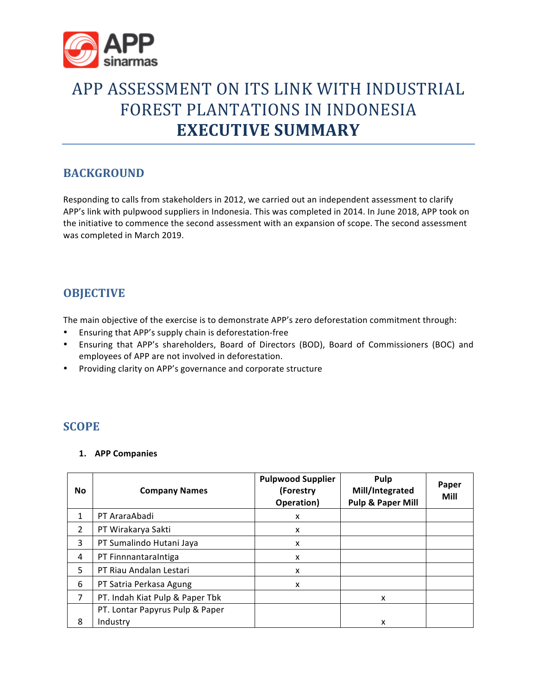

# APP ASSESSMENT ON ITS LINK WITH INDUSTRIAL FOREST PLANTATIONS IN INDONESIA **EXECUTIVE SUMMARY**

# **BACKGROUND**

Responding to calls from stakeholders in 2012, we carried out an independent assessment to clarify APP's link with pulpwood suppliers in Indonesia. This was completed in 2014. In June 2018, APP took on the initiative to commence the second assessment with an expansion of scope. The second assessment was completed in March 2019.

# **OBJECTIVE**

The main objective of the exercise is to demonstrate APP's zero deforestation commitment through:

- Ensuring that APP's supply chain is deforestation-free
- Ensuring that APP's shareholders, Board of Directors (BOD), Board of Commissioners (BOC) and employees of APP are not involved in deforestation.
- Providing clarity on APP's governance and corporate structure

# **SCOPE**

#### **1. APP Companies**

| <b>No</b>      | <b>Company Names</b>            | <b>Pulpwood Supplier</b><br>(Forestry<br>Operation) | Pulp<br>Mill/Integrated<br><b>Pulp &amp; Paper Mill</b> | Paper<br>Mill |
|----------------|---------------------------------|-----------------------------------------------------|---------------------------------------------------------|---------------|
| 1              | PT AraraAbadi                   | X                                                   |                                                         |               |
| $\overline{2}$ | PT Wirakarya Sakti              | X                                                   |                                                         |               |
| 3              | PT Sumalindo Hutani Jaya        | X                                                   |                                                         |               |
| 4              | PT FinnnantaraIntiga            | X                                                   |                                                         |               |
| 5.             | PT Riau Andalan Lestari         | X                                                   |                                                         |               |
| 6              | PT Satria Perkasa Agung         | X                                                   |                                                         |               |
| 7              | PT. Indah Kiat Pulp & Paper Tbk |                                                     | x                                                       |               |
|                | PT. Lontar Papyrus Pulp & Paper |                                                     |                                                         |               |
| 8              | Industry                        |                                                     | x                                                       |               |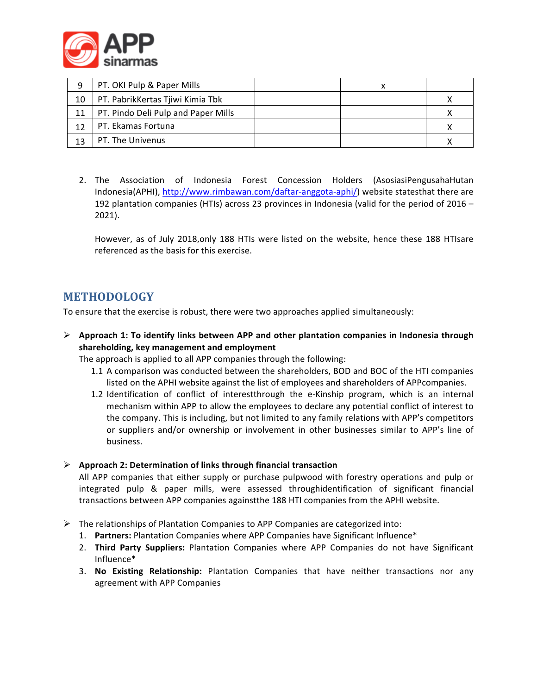

| q  | PT. OKI Pulp & Paper Mills          | v |  |
|----|-------------------------------------|---|--|
| 10 | PT. PabrikKertas Tjiwi Kimia Tbk    |   |  |
| 11 | PT. Pindo Deli Pulp and Paper Mills |   |  |
| 12 | PT. Ekamas Fortuna                  |   |  |
| 13 | PT. The Univenus                    |   |  |

2. The Association of Indonesia Forest Concession Holders (AsosiasiPengusahaHutan Indonesia(APHI), http://www.rimbawan.com/daftar-anggota-aphi/) website statesthat there are 192 plantation companies (HTIs) across 23 provinces in Indonesia (valid for the period of  $2016 -$ 2021).

However, as of July 2018,only 188 HTIs were listed on the website, hence these 188 HTIsare referenced as the basis for this exercise.

# **METHODOLOGY**

To ensure that the exercise is robust, there were two approaches applied simultaneously:

 $\triangleright$  Approach 1: To identify links between APP and other plantation companies in Indonesia through shareholding, key management and employment

The approach is applied to all APP companies through the following:

- 1.1 A comparison was conducted between the shareholders, BOD and BOC of the HTI companies listed on the APHI website against the list of employees and shareholders of APPcompanies.
- 1.2 Identification of conflict of interestthrough the e-Kinship program, which is an internal mechanism within APP to allow the employees to declare any potential conflict of interest to the company. This is including, but not limited to any family relations with APP's competitors or suppliers and/or ownership or involvement in other businesses similar to APP's line of business.

#### Ø **Approach 2: Determination of links through financial transaction**

All APP companies that either supply or purchase pulpwood with forestry operations and pulp or integrated pulp & paper mills, were assessed throughidentification of significant financial transactions between APP companies againstthe 188 HTI companies from the APHI website.

- $\triangleright$  The relationships of Plantation Companies to APP Companies are categorized into:
	- 1. Partners: Plantation Companies where APP Companies have Significant Influence<sup>\*</sup>
	- 2. **Third Party Suppliers:** Plantation Companies where APP Companies do not have Significant Influence\*
	- 3. No Existing Relationship: Plantation Companies that have neither transactions nor any agreement with APP Companies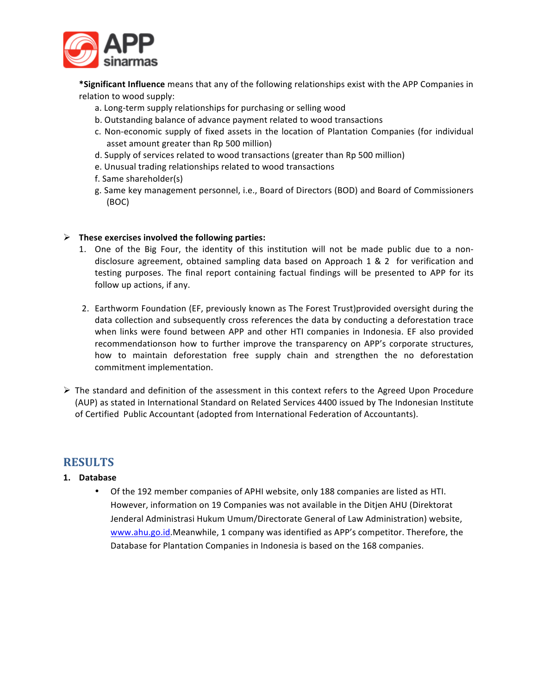

\*Significant Influence means that any of the following relationships exist with the APP Companies in relation to wood supply:

- a. Long-term supply relationships for purchasing or selling wood
- b. Outstanding balance of advance payment related to wood transactions
- c. Non-economic supply of fixed assets in the location of Plantation Companies (for individual asset amount greater than Rp 500 million)
- d. Supply of services related to wood transactions (greater than Rp 500 million)
- e. Unusual trading relationships related to wood transactions
- f. Same shareholder(s)
- g. Same key management personnel, i.e., Board of Directors (BOD) and Board of Commissioners (BOC)

#### $\triangleright$  These exercises involved the following parties:

- 1. One of the Big Four, the identity of this institution will not be made public due to a nondisclosure agreement, obtained sampling data based on Approach 1 & 2 for verification and testing purposes. The final report containing factual findings will be presented to APP for its follow up actions, if any.
- 2. Earthworm Foundation (EF, previously known as The Forest Trust)provided oversight during the data collection and subsequently cross references the data by conducting a deforestation trace when links were found between APP and other HTI companies in Indonesia. EF also provided recommendationson how to further improve the transparency on APP's corporate structures, how to maintain deforestation free supply chain and strengthen the no deforestation commitment implementation.
- $\triangleright$  The standard and definition of the assessment in this context refers to the Agreed Upon Procedure (AUP) as stated in International Standard on Related Services 4400 issued by The Indonesian Institute of Certified Public Accountant (adopted from International Federation of Accountants).

#### **RESULTS**

#### **1. Database**

Of the 192 member companies of APHI website, only 188 companies are listed as HTI. However, information on 19 Companies was not available in the Ditjen AHU (Direktorat Jenderal Administrasi Hukum Umum/Directorate General of Law Administration) website, www.ahu.go.id.Meanwhile, 1 company was identified as APP's competitor. Therefore, the Database for Plantation Companies in Indonesia is based on the 168 companies.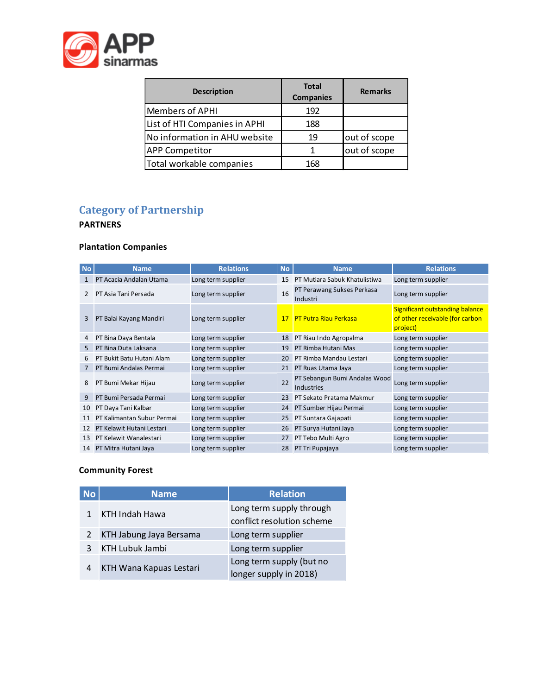

| <b>Description</b>            | <b>Total</b><br><b>Companies</b> | <b>Remarks</b> |
|-------------------------------|----------------------------------|----------------|
| Members of APHI               | 192                              |                |
| List of HTI Companies in APHI | 188                              |                |
| No information in AHU website | 19                               | out of scope   |
| <b>APP Competitor</b>         |                                  | out of scope   |
| Total workable companies      | 168                              |                |

# **Category of Partnership**

#### **PARTNERS**

### **Plantation Companies**

| <b>No</b>     | <b>Name</b>                | <b>Relations</b>   | <b>No</b> | <b>Name</b>                                 | <b>Relations</b>                                                                      |
|---------------|----------------------------|--------------------|-----------|---------------------------------------------|---------------------------------------------------------------------------------------|
| 1             | PT Acacia Andalan Utama    | Long term supplier | 15        | PT Mutiara Sabuk Khatulistiwa               | Long term supplier                                                                    |
| $\mathcal{P}$ | PT Asia Tani Persada       | Long term supplier | 16        | PT Perawang Sukses Perkasa<br>Industri      | Long term supplier                                                                    |
| 3             | PT Balai Kayang Mandiri    | Long term supplier | 17        | <b>PT Putra Riau Perkasa</b>                | <b>Significant outstanding balance</b><br>of other receivable (for carbon<br>project) |
| 4             | PT Bina Daya Bentala       | Long term supplier | 18        | PT Riau Indo Agropalma                      | Long term supplier                                                                    |
| 5.            | PT Bina Duta Laksana       | Long term supplier | 19        | PT Rimba Hutani Mas                         | Long term supplier                                                                    |
| 6             | PT Bukit Batu Hutani Alam  | Long term supplier | 20        | PT Rimba Mandau Lestari                     | Long term supplier                                                                    |
|               | PT Bumi Andalas Permai     | Long term supplier | 21        | PT Ruas Utama Jaya                          | Long term supplier                                                                    |
| 8             | PT Bumi Mekar Hijau        | Long term supplier | 22        | PT Sebangun Bumi Andalas Wood<br>Industries | Long term supplier                                                                    |
| 9             | PT Bumi Persada Permai     | Long term supplier | 23        | PT Sekato Pratama Makmur                    | Long term supplier                                                                    |
| 10            | PT Daya Tani Kalbar        | Long term supplier | 24        | PT Sumber Hijau Permai                      | Long term supplier                                                                    |
| 11            | PT Kalimantan Subur Permai | Long term supplier | 25        | PT Suntara Gajapati                         | Long term supplier                                                                    |
| 12            | PT Kelawit Hutani Lestari  | Long term supplier | 26        | PT Surya Hutani Jaya                        | Long term supplier                                                                    |
| 13            | PT Kelawit Wanalestari     | Long term supplier | 27        | PT Tebo Multi Agro                          | Long term supplier                                                                    |
|               | 14 PT Mitra Hutani Jaya    | Long term supplier | 28        | PT Tri Pupajaya                             | Long term supplier                                                                    |

### **Community Forest**

| <b>No</b>      | <b>Name</b>             | <b>Relation</b>                                        |
|----------------|-------------------------|--------------------------------------------------------|
| 1              | KTH Indah Hawa          | Long term supply through<br>conflict resolution scheme |
| $\overline{2}$ | KTH Jabung Jaya Bersama | Long term supplier                                     |
| ξ              | <b>KTH Lubuk Jambi</b>  | Long term supplier                                     |
| 4              | KTH Wana Kapuas Lestari | Long term supply (but no<br>longer supply in 2018)     |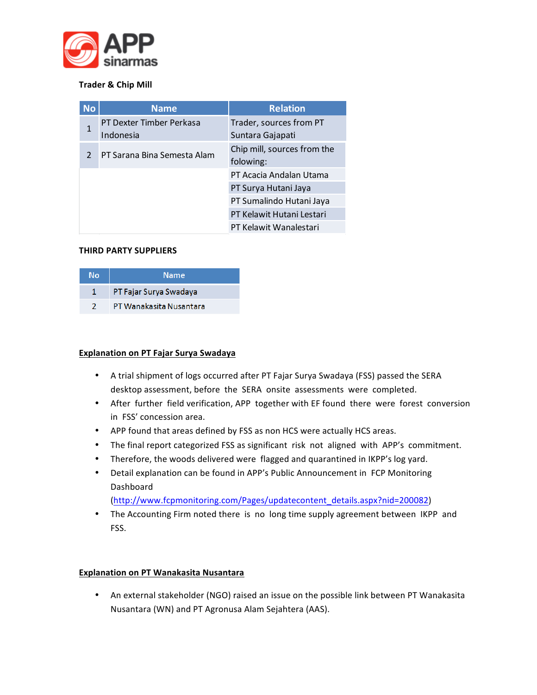

#### **Trader & Chip Mill**

| <b>No</b> | <b>Name</b>                 | <b>Relation</b>             |  |
|-----------|-----------------------------|-----------------------------|--|
| 1         | PT Dexter Timber Perkasa    | Trader, sources from PT     |  |
|           | Indonesia                   | Suntara Gajapati            |  |
| 2         | PT Sarana Bina Semesta Alam | Chip mill, sources from the |  |
|           |                             | folowing:                   |  |
|           |                             | PT Acacia Andalan Utama     |  |
|           |                             | PT Surya Hutani Jaya        |  |
|           |                             | PT Sumalindo Hutani Jaya    |  |
|           |                             | PT Kelawit Hutani Lestari   |  |
|           |                             | PT Kelawit Wanalestari      |  |

#### **THIRD PARTY SUPPLIERS**

| Nο | <b>Name</b>             |  |  |
|----|-------------------------|--|--|
|    | PT Fajar Surya Swadaya  |  |  |
|    | PT Wanakasita Nusantara |  |  |

#### **Explanation on PT Fajar Surya Swadaya**

- A trial shipment of logs occurred after PT Fajar Surya Swadaya (FSS) passed the SERA desktop assessment, before the SERA onsite assessments were completed.
- After further field verification, APP together with EF found there were forest conversion in FSS' concession area.
- APP found that areas defined by FSS as non HCS were actually HCS areas.
- The final report categorized FSS as significant risk not aligned with APP's commitment.
- Therefore, the woods delivered were flagged and quarantined in IKPP's log yard.
- Detail explanation can be found in APP's Public Announcement in FCP Monitoring Dashboard

(http://www.fcpmonitoring.com/Pages/updatecontent\_details.aspx?nid=200082)

• The Accounting Firm noted there is no long time supply agreement between IKPP and FSS.

#### **Explanation on PT Wanakasita Nusantara**

• An external stakeholder (NGO) raised an issue on the possible link between PT Wanakasita Nusantara (WN) and PT Agronusa Alam Sejahtera (AAS).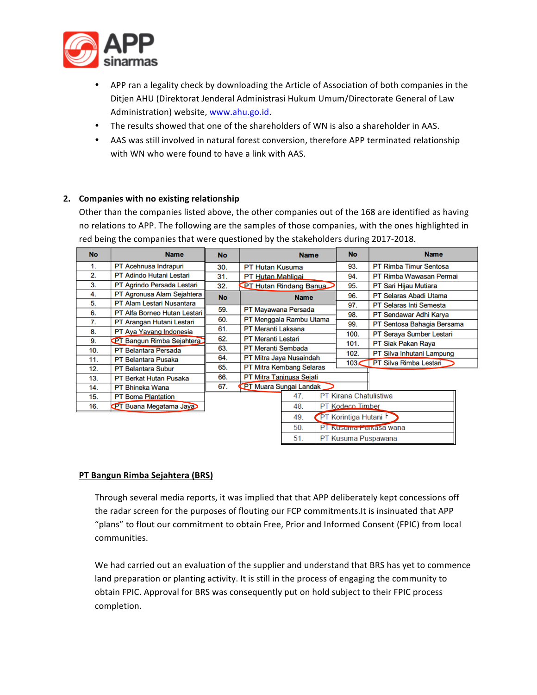

- APP ran a legality check by downloading the Article of Association of both companies in the Ditjen AHU (Direktorat Jenderal Administrasi Hukum Umum/Directorate General of Law Administration) website, www.ahu.go.id.
- The results showed that one of the shareholders of WN is also a shareholder in AAS.
- AAS was still involved in natural forest conversion, therefore APP terminated relationship with WN who were found to have a link with AAS.

#### 2. Companies with no existing relationship

Other than the companies listed above, the other companies out of the 168 are identified as having no relations to APP. The following are the samples of those companies, with the ones highlighted in red being the companies that were questioned by the stakeholders during 2017-2018.

| <b>No</b> | <b>Name</b>                      | <b>No</b> | <b>Name</b>                     |             | <b>No</b> | <b>Name</b>                   |                                |
|-----------|----------------------------------|-----------|---------------------------------|-------------|-----------|-------------------------------|--------------------------------|
| 1.        | PT Acehnusa Indrapuri            | 30.       | <b>PT Hutan Kusuma</b>          |             | 93.       | <b>PT Rimba Timur Sentosa</b> |                                |
| 2.        | <b>PT Adindo Hutani Lestari</b>  | 31.       | PT Hutan Mahligai               |             |           | 94.                           | PT Rimba Wawasan Permai        |
| 3.        | PT Agrindo Persada Lestari       | 32.       | <b>PT Hutan Rindang Banua</b>   |             |           | 95.                           | PT Sari Hijau Mutiara          |
| 4.        | PT Agronusa Alam Sejahtera       | <b>No</b> |                                 | <b>Name</b> |           | 96.                           | PT Selaras Abadi Utama         |
| 5.        | <b>PT Alam Lestari Nusantara</b> |           |                                 |             |           | 97.                           | <b>PT Selaras Inti Semesta</b> |
| 6.        | PT Alfa Borneo Hutan Lestari     | 59.       | PT Mayawana Persada             |             |           | 98.                           | PT Sendawar Adhi Karya         |
| 7.        | PT Arangan Hutani Lestari        | 60.       | PT Menggala Rambu Utama         |             |           | 99.                           | PT Sentosa Bahagia Bersama     |
| 8.        | PT Aya Yayang Indonesia          | 61.       | <b>PT Meranti Laksana</b>       |             |           | 100.                          | PT Seraya Sumber Lestari       |
| 9.        | <b>PT Bangun Rimba Sejahtera</b> | 62.       | <b>PT Meranti Lestari</b>       |             | 101.      | PT Siak Pakan Raya            |                                |
| 10.       | <b>PT Belantara Persada</b>      | 63.       | <b>PT Meranti Sembada</b>       |             | 102.      | PT Silva Inhutani Lampung     |                                |
| 11.       | <b>PT Belantara Pusaka</b>       | 64.       | PT Mitra Jaya Nusaindah         |             | 103<      | PT Silva Rimba Lestari        |                                |
| 12.       | <b>PT Belantara Subur</b>        | 65.       | <b>PT Mitra Kembang Selaras</b> |             |           |                               |                                |
| 13.       | <b>PT Berkat Hutan Pusaka</b>    | 66.       | PT Mitra Taninusa Sejati        |             |           |                               |                                |
| 14.       | PT Bhineka Wana                  | 67.       | PT Muara Sungai Landak          |             |           |                               |                                |
| 15.       | <b>PT Boma Plantation</b>        |           |                                 | 47.         |           | PT Kirana Chatulistiwa        |                                |
| 16.       | <b>PT Buana Megatama Jaya</b>    |           |                                 | 48.         |           | PT Kodeco Timber              |                                |
|           |                                  |           |                                 | 49.         |           | PT Korintiga Hutani           |                                |
|           |                                  |           |                                 | 50.         |           |                               | PT Kusuma Ferkasa wana         |

#### **PT Bangun Rimba Sejahtera (BRS)**

Through several media reports, it was implied that that APP deliberately kept concessions off the radar screen for the purposes of flouting our FCP commitments.It is insinuated that APP "plans" to flout our commitment to obtain Free, Prior and Informed Consent (FPIC) from local communities. 

 $51.$ 

PT Kusuma Puspawana

We had carried out an evaluation of the supplier and understand that BRS has yet to commence land preparation or planting activity. It is still in the process of engaging the community to obtain FPIC. Approval for BRS was consequently put on hold subject to their FPIC process completion.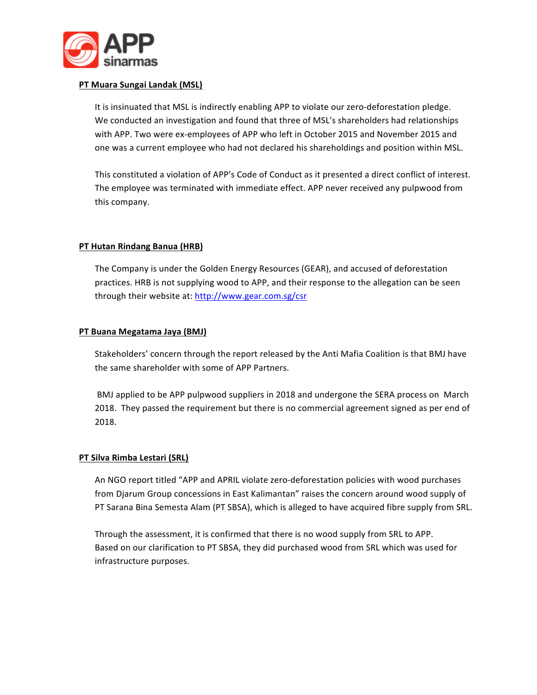

#### **PT Muara Sungai Landak (MSL)**

It is insinuated that MSL is indirectly enabling APP to violate our zero-deforestation pledge. We conducted an investigation and found that three of MSL's shareholders had relationships with APP. Two were ex-employees of APP who left in October 2015 and November 2015 and one was a current employee who had not declared his shareholdings and position within MSL.

This constituted a violation of APP's Code of Conduct as it presented a direct conflict of interest. The employee was terminated with immediate effect. APP never received any pulpwood from this company.

#### **PT Hutan Rindang Banua (HRB)**

The Company is under the Golden Energy Resources (GEAR), and accused of deforestation practices. HRB is not supplying wood to APP, and their response to the allegation can be seen through their website at: http://www.gear.com.sg/csr

#### **PT Buana Megatama Jaya (BMJ)**

Stakeholders' concern through the report released by the Anti Mafia Coalition is that BMJ have the same shareholder with some of APP Partners.

BMJ applied to be APP pulpwood suppliers in 2018 and undergone the SERA process on March 2018. They passed the requirement but there is no commercial agreement signed as per end of 2018.

#### **PT Silva Rimba Lestari (SRL)**

An NGO report titled "APP and APRIL violate zero-deforestation policies with wood purchases from Djarum Group concessions in East Kalimantan" raises the concern around wood supply of PT Sarana Bina Semesta Alam (PT SBSA), which is alleged to have acquired fibre supply from SRL.

Through the assessment, it is confirmed that there is no wood supply from SRL to APP. Based on our clarification to PT SBSA, they did purchased wood from SRL which was used for infrastructure purposes.